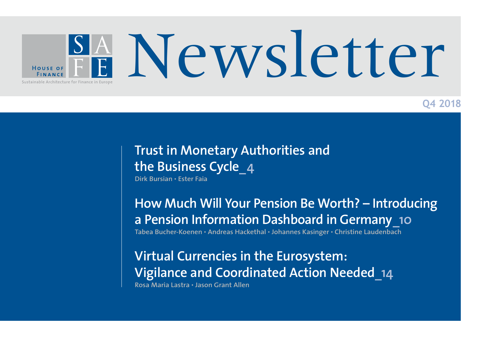

### **Q4 2018**

# **Trust in Monetary Authorities and the Business Cycle\_4**

**Dirk Bursian • Ester Faia** 

**How Much Will Your Pension Be Worth? – Introducing a Pension Information Dashboard in Germany\_10**

**Tabea Bucher-Koenen • Andreas Hackethal • Johannes Kasinger • Christine Laudenbach**

**Virtual Currencies in the Eurosystem: Vigilance and Coordinated Action Needed\_14 Rosa Maria Lastra • Jason Grant Allen**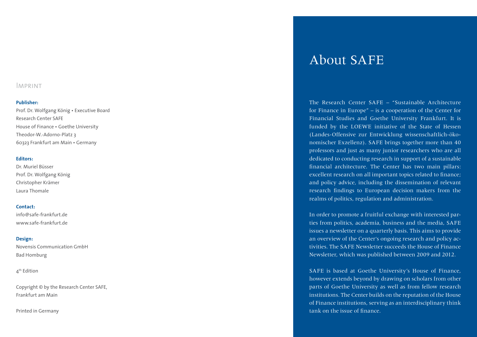#### Imprint

#### **Publisher:**

Prof. Dr. Wolfgang König • Executive Board Research Center SAFE House of Finance • Goethe University Theodor-W.-Adorno-Platz 3 60323 Frankfurt am Main • Germany

#### **Editors:**

Dr. Muriel Büsser Prof. Dr. Wolfgang König Christopher Krämer Laura Thomale

#### **Contact:**

info@safe-frankfurt.de www.safe-frankfurt.de

#### **Design:**

Novensis Communication GmbH Bad Homburg

4<sup>th</sup> Edition

Copyright © by the Research Center SAFE, Frankfurt am Main

Printed in Germany

# About SAFE

The Research Center SAFE – "Sustainable Architecture for Finance in Europe" – is a cooperation of the Center for Financial Studies and Goethe University Frankfurt. It is funded by the LOEWE initiative of the State of Hessen (Landes-Offensive zur Entwicklung wissenschaftlich-ökonomischer Exzellenz). SAFE brings together more than 40 professors and just as many junior researchers who are all dedicated to conducting research in support of a sustainable financial architecture. The Center has two main pillars: excellent research on all important topics related to finance; and policy advice, including the dissemination of relevant research findings to European decision makers from the realms of politics, regulation and administration.

In order to promote a fruitful exchange with interested par ties from politics, academia, business and the media, SAFE issues a newsletter on a quarterly basis. This aims to provide an overview of the Center's ongoing research and policy ac tivities. The SAFE Newsletter succeeds the House of Finance Newsletter, which was published between 2009 and 2012.

SAFE is based at Goethe University's House of Finance, however extends beyond by drawing on scholars from other parts of Goethe University as well as from fellow research institutions. The Center builds on the reputation of the House of Finance institutions, serving as an interdisciplinary think tank on the issue of finance.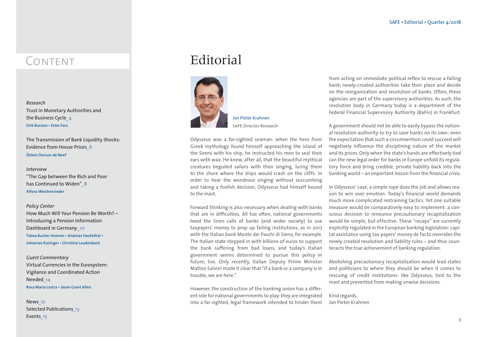*Research*  Trust in Monetary Authorities and the Business Cycle**\_4 Dirk Bursian • Ester Faia** 

The Transmission of Bank Liquidity Shocks: Evidence from House Prices**\_6 Özlem Dursun-de Neef** 

#### *Interview*

"The Gap between the Rich and Poor has Continued to Widen"**\_8 Alfons Weichenrieder** 

#### *Policy Center*

How Much Will Your Pension Be Worth? – Introducing a Pension Information Dashboard in Germany**\_10 Tabea Bucher-Koenen • Andreas Hackethal • Johannes Kasinger • Christine Laudenbach**

#### *Guest Commentary*  Virtual Currencies in the Eurosystem: Vigilance and Coordinated Action Needed**\_14 Rosa Maria Lastra • Jason Grant Allen**

News**\_12** Selected Publications**\_13**  Events**\_15**

### CONTENT Raitorial



SAFE Director Research

Odysseus was a far-sighted seaman: when the hero from Greek mythology found himself approaching the island of the Sirens with his ship, he instructed his men to seal their ears with wax. He knew, after all, that the beautiful mythical creatures beguiled sailors with their singing, luring them to the shore where the ships would crash on the cliffs. In order to hear the wondrous singing without succumbing and taking a foolish decision, Odysseus had himself bound to the mast.

Forward thinking is also necessary when dealing with banks that are in difficulties. All too often, national governments heed the Siren calls of banks (and wider society) to use taxpayers' money to prop up failing institutions, as in 2017 with the Italian bank Monte dei Paschi di Siena, for example. The Italian state stepped in with billions of euros to support the bank suffering from bad loans, and today's Italian government seems determined to pursue this policy in future, too. Only recently, Italian Deputy Prime Minister Matteo Salvini made it clear that "if a bank or a company is in trouble, we are here."

However, the construction of the banking union has a different role for national governments to play: they are integrated into a far-sighted, legal framework intended to hinder them

from acting on immediate political reflex to rescue a failing bank; newly-created authorities take their place and decide on the reorganization and resolution of banks. Often, these agencies are part of the supervisory authorities. As such, the resolution body in Germany today is a department of the Federal Financial Supervisory Authority (BaFin) in Frankfurt.

A government should not be able to easily bypass the national resolution authority to try to save banks on its own: even the expectation that such a circumvention could succeed will negatively influence the disciplining nature of the market and its prices. Only when the state's hands are effectively tied can the new legal order for banks in Europe unfold its regulatory force and bring credible, private liability back into the banking world – an important lesson from the financial crisis.

In Odysseus' case, a simple rope does the job and allows reason to win over emotion. Today's financial world demands much more complicated restraining tactics. Yet one suitable measure would be comparatively easy to implement: a conscious decision to renounce precautionary recapitalization would be simple, but effective. These "recaps" are currently explicitly regulated in the European banking legislation: capital assistance using tax payers' money de facto overrides the newly created resolution and liability rules – and thus counteracts the true achievement of banking regulation.

Abolishing precautionary recapitalization would lead states and politicians to where they should be when it comes to rescuing of credit institutions: like Odysseus, tied to the mast and prevented from making unwise decisions.

Kind regards, Jan Pieter Krahnen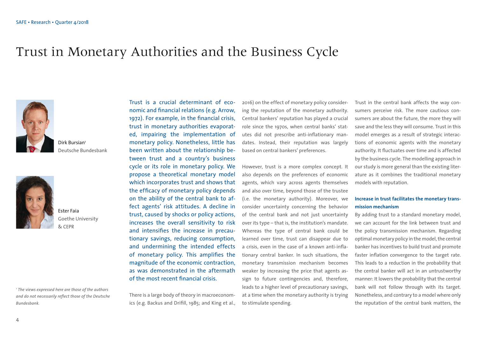### Trust in Monetary Authorities and the Business Cycle



Dirk Bursian<sup>1</sup> Deutsche Bundesbank



Ester Faia Goethe University & CEPR

*1 The views expressed here are those of the authors and do not necessarily reflect those of the Deutsche Bundesbank.*

Trust is a crucial determinant of economic and financial relations (e.g. Arrow, 1972). For example, in the financial crisis, trust in monetary authorities evaporated, impairing the implementation of monetary policy. Nonetheless, little has been written about the relationship between trust and a country's business cycle or its role in monetary policy. We propose a theoretical monetary model which incorporates trust and shows that the efficacy of monetary policy depends on the ability of the central bank to affect agents' risk attitudes. A decline in trust, caused by shocks or policy actions, increases the overall sensitivity to risk and intensifies the increase in precautionary savings, reducing consumption, and undermining the intended effects of monetary policy. This amplifies the magnitude of the economic contraction, as was demonstrated in the aftermath of the most recent financial crisis.

There is a large body of theory in macroeconomics (e.g. Backus and Drifill, 1985; and King et al., 2016) on the effect of monetary policy considering the reputation of the monetary authority. Central bankers' reputation has played a crucial role since the 1970s, when central banks' statutes did not prescribe anti-inflationary mandates. Instead, their reputation was largely based on central bankers' preferences.

However, trust is a more complex concept. It also depends on the preferences of economic agents, which vary across agents themselves and also over time, beyond those of the trustee (i.e. the monetary authority). Moreover, we consider uncertainty concerning the behavior of the central bank and not just uncertainty over its type – that is, the institution's mandate. Whereas the type of central bank could be learned over time, trust can disappear due to a crisis, even in the case of a known anti-inflationary central banker. In such situations, the monetary transmission mechanism becomes weaker by increasing the price that agents assign to future contingencies and, therefore, leads to a higher level of precautionary savings, at a time when the monetary authority is trying to stimulate spending.

Trust in the central bank affects the way consumers perceive risk. The more cautious consumers are about the future, the more they will save and the less they will consume. Trust in this model emerges as a result of strategic interactions of economic agents with the monetary authority. It fluctuates over time and is affected by the business cycle. The modelling approach in our study is more general than the existing literature as it combines the traditional monetary models with reputation.

#### **Increase in trust facilitates the monetary transmission mechanism**

By adding trust to a standard monetary model, we can account for the link between trust and the policy transmission mechanism. Regarding optimal monetary policy in the model, the central banker has incentives to build trust and promote faster inflation convergence to the target rate. This leads to a reduction in the probability that the central banker will act in an untrustworthy manner: It lowers the probability that the central bank will not follow through with its target. Nonetheless, and contrary to a model where only the reputation of the central bank matters, the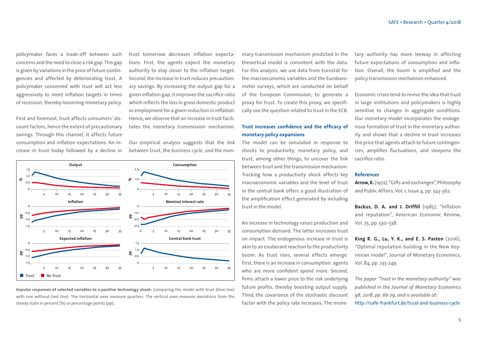policymaker faces a trade-off between such concerns and the need to close a risk gap. This gap is given by variations in the price of future contingencies and affected by deteriorating trust. A policymaker concerned with trust will act less aggressively to meet inflation targets in times of recession, thereby loosening monetary policy.

First and foremost, trust affects consumers' discount factors, hence the extent of precautionary savings. Through this channel, it affects future consumption and inflation expectations. An increase in trust today followed by a decline in

trust tomorrow decreases inflation expectations. First, the agents expect the monetary authority to stay closer to the inflation target. Second, the increase in trust reduces precautionary savings. By increasing the output gap for a given inflation gap, it improves the sacrifice ratio which reflects the loss in gross domestic product or employment for a given reduction in inflation. Hence, we observe that an increase in trust facilitates the monetary transmission mechanism.

Our empirical analysis suggests that the link between trust, the business cycle, and the mon-



**Impulse responses of selected variables to a positive technology shock:** Comparing the model with trust (blue line) with one without (red line). The horizontal axes measure quarters. The vertical axes measure deviations from the steady state in percent (%) or percentage points (pp).

etary transmission mechanism predicted in the theoretical model is consistent with the data. For this analysis, we use data from Eurostat for the macroeconomic variables and the Eurobarometer surveys, which are conducted on behalf of the European Commission, to generate a proxy for trust. To create this proxy, we specifically use the question related to trust in the ECB.

#### **Trust increases confidence and the efficacy of monetary policy expansions**

The model can be simulated in response to shocks to productivity, monetary policy, and trust, among other things, to uncover the link between trust and the transmission mechanism. Tracking how a productivity shock affects key macroeconomic variables and the level of trust in the central bank offers a good illustration of the amplification effect generated by including trust in the model.

An increase in technology raises production and consumption demand. The latter increases trust on impact. The endogenous increase in trust is akin to an exuberant reaction to the productivity boom. As trust rises, several effects emerge. First, there is an increase in consumption: agents who are more confident spend more. Second, firms attach a lower price to the risk underlying future profits, thereby boosting output supply. Third, the covariance of the stochastic discount factor with the policy rate increases. The monetary authority has more leeway in affecting future expectations of consumption and inflation. Overall, the boom is amplified and the policy transmission mechanism enhanced.

Economic crises tend to revive the idea that trust in large institutions and policymakers is highly sensitive to changes in aggregate conditions. Our monetary model incorporates the endogenous formation of trust in the monetary authority and shows that a decline in trust increases the price that agents attach to future contingencies, amplifies fluctuations, and steepens the sacrifice ratio.

#### **References**

**Arrow, K.** (1972), "Gifts and exchanges", Philosophy and Public Affairs, Vol. 1, Issue 4, pp. 343-362.

**Backus, D. A. and J. Driffill** (1985), "Inflation and reputation", American Economic Review, Vol. 75, pp. 530-538.

**King R. G., Lu, Y. K., and E. S. Pasten** (2016), "Optimal reputation building in the New Keynesian model", Journal of Monetary Economics, Vol. 84, pp. 233-249.

*The paper "Trust in the monetary authority" was published in the Journal of Monetary Economics 98, 2018, pp. 66-79, and is available at:* http://safe-frankfurt.de/trust-and-business-cycle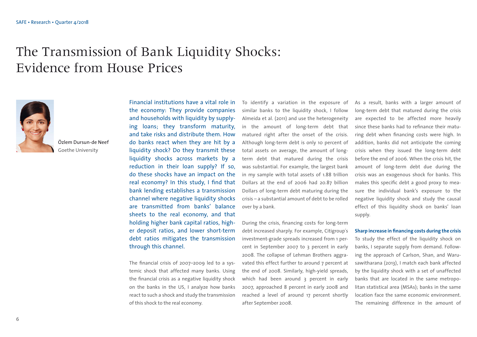# The Transmission of Bank Liquidity Shocks: Evidence from House Prices



Özlem Dursun-de Neef Goethe University

Financial institutions have a vital role in the economy: They provide companies and households with liquidity by supplying loans; they transform maturity, and take risks and distribute them. How do banks react when they are hit by a liquidity shock? Do they transmit these liquidity shocks across markets by a reduction in their loan supply? If so, do these shocks have an impact on the real economy? In this study, I find that bank lending establishes a transmission channel where negative liquidity shocks are transmitted from banks' balance sheets to the real economy, and that holding higher bank capital ratios, higher deposit ratios, and lower short-term debt ratios mitigates the transmission through this channel.

The financial crisis of 2007–2009 led to a systemic shock that affected many banks. Using the financial crisis as a negative liquidity shock on the banks in the US, I analyze how banks react to such a shock and study the transmission of this shock to the real economy.

To identify a variation in the exposure of similar banks to the liquidity shock, I follow Almeida et al. (2011) and use the heterogeneity in the amount of long-term debt that matured right after the onset of the crisis. Although long-term debt is only 10 percent of total assets on average, the amount of longterm debt that matured during the crisis was substantial. For example, the largest bank in my sample with total assets of 1.88 trillion Dollars at the end of 2006 had 20.87 billion Dollars of long-term debt maturing during the crisis – a substantial amount of debt to be rolled over by a bank.

During the crisis, financing costs for long-term debt increased sharply. For example, Citigroup´s investment-grade spreads increased from 1 percent in September 2007 to 3 percent in early 2008. The collapse of Lehman Brothers aggravated this effect further to around 7 percent at the end of 2008. Similarly, high-yield spreads, which had been around 3 percent in early 2007, approached 8 percent in early 2008 and reached a level of around 17 percent shortly after September 2008.

As a result, banks with a larger amount of long-term debt that matured during the crisis are expected to be affected more heavily since these banks had to refinance their maturing debt when financing costs were high. In addition, banks did not anticipate the coming crisis when they issued the long-term debt before the end of 2006. When the crisis hit, the amount of long-term debt due during the crisis was an exogenous shock for banks. This makes this specific debt a good proxy to measure the individual bank's exposure to the negative liquidity shock and study the causal effect of this liquidity shock on banks' loan supply.

#### **Sharp increase in financing costs during the crisis**

To study the effect of the liquidity shock on banks, I separate supply from demand. Following the approach of Carlson, Shan, and Warusawitharana (2013), I match each bank affected by the liquidity shock with a set of unaffected banks that are located in the same metropolitan statistical area (MSAs); banks in the same location face the same economic environment. The remaining difference in the amount of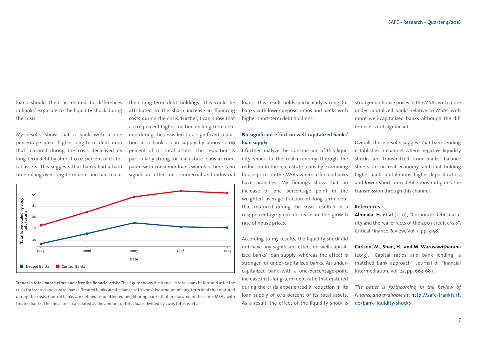loans should then be related to differences in banks' exposure to the liquidity shock during the crisis.

My results show that a bank with a one percentage point higher long-term debt ratio that matured during the crisis decreased its long-term debt by almost 0.04 percent of its total assets. This suggests that banks had a hard time rolling over long-term debt and had to cut

their long-term debt holdings. This could be attributed to the sharp increase in financing costs during the crisis. Further, I can show that a 0.01 percent higher fraction on long-term debt due during the crisis led to a significant reduction in a bank's loan supply by almost 0.09 percent of its total assets. This reduction is particularly strong for real estate loans as compared with consumer loans whereas there is no significant effect on commercial and industrial



**Trends in total loans before and after the financial crisis:** This figure shows the trends in total loans before and after the crisis for treated and control banks. Treated banks are the banks with a positive amount of long-term debt that matured during the crisis. Control banks are defined as unaffected neighboring banks that are located in the same MSAs with treated banks. The measure is calculated as the amount of total loans divided by 2005 total assets.

loans. This result holds particularly strong for banks with lower deposit ratios and banks with higher short-term debt holdings.

#### **No significant effect on well-capitalized banks' loan supply**

I further analyze the transmission of this liquidity shock to the real economy through the reduction in the real estate loans by examining house prices in the MSAs where affected banks have branches. My findings show that an increase of one percentage point in the weighted average fraction of long-term debt that matured during the crisis resulted in a 0.13-percentage-point decrease in the growth rate of house prices.

According to my results, the liquidity shock did not have any significant effect on well-capitalized banks' loan supply, whereas the effect is stronger for under-capitalized banks. An undercapitalized bank with a one-percentage-point increase in its long-term debt ratio that matured during the crisis experienced a reduction in its loan supply of 0.12 percent of its total assets. As a result, the effect of the liquidity shock is

stronger on house prices in the MSAs with more under-capitalized banks relative to MSAs with more well-capitalized banks although the difference is not significant.

Overall, these results suggest that bank lending establishes a channel where negative liquidity shocks are transmitted from banks' balance sheets to the real economy, and that holding higher bank capital ratios, higher deposit ratios, and lower short-term debt ratios mitigates the transmission through this channel.

#### **References**

**Almeida, H. et al** (2011), "Corporate debt maturity and the real effects of the 2007 credit crisis", Critical Finance Review, Vol. 1, pp. 3-58.

#### **Carlson, M., Shan, H., and M. Warusawitharana**

(2013), "Capital ratios and bank lending: a matched bank approach", Journal of Financial Intermediation, Vol. 22, pp. 663-687.

*The paper is forthcoming in the Review of [Finan ce and available at:](https://papers.ssrn.com/sol3/papers.cfm?abstract_id=%202163975)* http://safe-frankfurt. de/bank-liquidity-shocks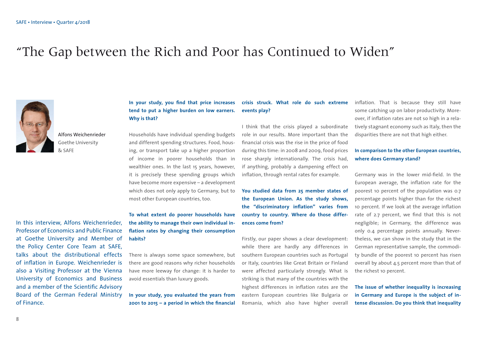# "The Gap between the Rich and Poor has Continued to Widen"



Alfons Weichenrieder Goethe University  $&$  SAFF

In this interview, Alfons Weichenrieder, Professor of Economics and Public Finance at Goethe University and Member of the Policy Center Core Team at SAFE, talks about the distributional effects of inflation in Europe. Weichenrieder is also a Visiting Professor at the Vienna University of Economics and Business and a member of the Scientific Advisory Board of the German Federal Ministry of Finance.

#### **In your study, you find that price increases tend to put a higher burden on low earners. Why is that?**

Households have individual spending budgets and different spending structures. Food, housing, or transport take up a higher proportion of income in poorer households than in wealthier ones. In the last 15 years, however, it is precisely these spending groups which have become more expensive – a development which does not only apply to Germany, but to most other European countries, too.

**To what extent do poorer households have the ability to manage their own individual inflation rates by changing their consumption habits?** 

There is always some space somewhere, but there are good reasons why richer households have more leeway for change: it is harder to avoid essentials than luxury goods.

**In your study, you evaluated the years from 2001 to 2015 – a period in which the financial** 

#### **crisis struck. What role do such extreme events play?**

I think that the crisis played a subordinate role in our results. More important than the financial crisis was the rise in the price of food during this time: in 2008 and 2009, food prices rose sharply internationally. The crisis had, if anything, probably a dampening effect on inflation, through rental rates for example.

**You studied data from 25 member states of the European Union. As the study shows, the "discriminatory inflation" varies from country to country. Where do those differences come from?** 

Firstly, our paper shows a clear development: while there are hardly any differences in southern European countries such as Portugal or Italy, countries like Great Britain or Finland were affected particularly strongly. What is striking is that many of the countries with the highest differences in inflation rates are the eastern European countries like Bulgaria or Romania, which also have higher overall

inflation. That is because they still have some catching up on labor productivity. Moreover, if inflation rates are not so high in a relatively stagnant economy such as Italy, then the disparities there are not that high either.

#### **In comparison to the other European countries, where does Germany stand?**

Germany was in the lower mid-field. In the European average, the inflation rate for the poorest 10 percent of the population was 0.7 percentage points higher than for the richest 10 percent. If we look at the average inflation rate of 2.7 percent, we find that this is not negligible; in Germany, the difference was only 0.4 percentage points annually. Nevertheless, we can show in the study that in the German representative sample, the commodity bundle of the poorest 10 percent has risen overall by about 4.5 percent more than that of the richest 10 percent.

**The issue of whether inequality is increasing in Germany and Europe is the subject of intense discussion. Do you think that inequality**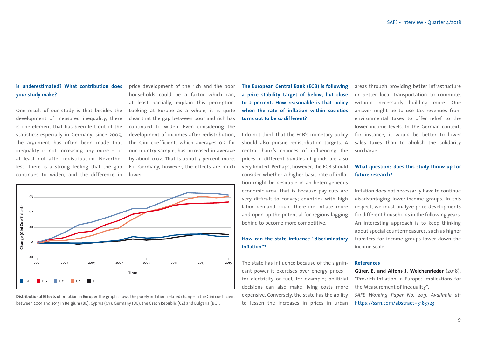#### **is under estimated? What contribution does your study make?**

One result of our study is that besides the development of measured inequality, there is one element that has been left out of the statistics: especially in Germany, since 2005, the argument has often been made that inequality is not increasing any more – or at least not after redistribution. Nevertheless, there is a strong feeling that the gap continues to widen, and the difference in price development of the rich and the poor households could be a factor which can, at least partially, explain this perception. Looking at Europe as a whole, it is quite clear that the gap between poor and rich has continued to widen. Even considering the development of incomes after redistribution, the Gini coefficient, which averages 0.3 for our country sample, has increased in average by about 0.02. That is about 7 percent more. For Germany, however, the effects are much lower.



**Distributional Effects of Inflation in Europe:** The graph shows the purely inflation-related change in the Gini coefficient between 2001 and 2015 in Belgium (BE), Cyprus (CY), Germany (DE), the Czech Republic (CZ) and Bulgaria (BG).

**The European Central Bank (ECB) is following a price stability target of below, but close to 2 percent. How reasonable is that policy when the rate of inflation within societies turns out to be so different?** 

I do not think that the ECB's monetary policy should also pursue redistribution targets. A central bank's chances of influencing the prices of different bundles of goods are also very limited. Perhaps, however, the ECB should consider whether a higher basic rate of inflation might be desirable in an heterogeneous economic area: that is because pay cuts are very difficult to convey; countries with high labor demand could therefore inflate more and open up the potential for regions lagging behind to become more competitive.

#### **How can the state influence "discriminatory inflation"?**

The state has influence because of the significant power it exercises over energy prices – for electricity or fuel, for example; politicial decisions can also make living costs more expensive. Conversely, the state has the ability to lessen the increases in prices in urban

areas through providing better infrastructure or better local transportation to commute, without necessarily building more. One answer might be to use tax revenues from environmental taxes to offer relief to the lower income levels. In the German context, for instance, it would be better to lower sales taxes than to abolish the solidarity surcharge.

#### **What questions does this study throw up for future research?**

Inflation does not necessarily have to continue disadvantaging lower-income groups. In this respect, we must analyze price developments for different households in the following years. An interesting approach is to keep thinking about special countermeasures, such as higher transfers for income groups lower down the income scale.

#### **References**

**Gürer, E. and Alfons J. Weichenrieder** (2018), "Pro-rich Inflation in Europe: Implications for the Measurement of Inequality", *SAFE Working Paper No. 209. Available at:*  https://ssrn.com/abstract=3183723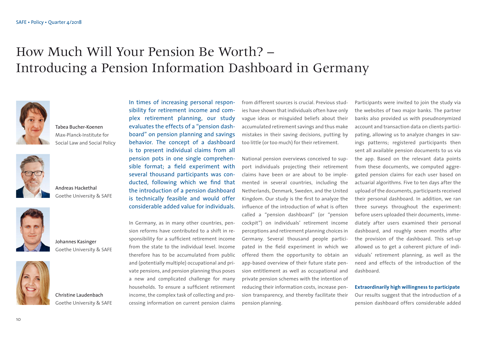# How Much Will Your Pension Be Worth? – Introducing a Pension Information Dashboard in Germany



Tabea Bucher-Koenen Max-Planck-Institute for Social Law and Social Policy



Andreas Hackethal Goethe University & SAFE



Johannes Kasinger Goethe University & SAFE



Christine Laudenbach Goethe University & SAFE

In times of increasing personal responsibility for retirement income and complex retirement planning, our study evaluates the effects of a "pension dashboard" on pension planning and savings behavior. The concept of a dashboard is to present individual claims from all pension pots in one single comprehensible format; a field experiment with several thousand participants was conducted, following which we find that the introduction of a pension dashboard is technically feasible and would offer considerable added value for individuals.

In Germany, as in many other countries, pension reforms have contributed to a shift in responsibility for a sufficient retirement income from the state to the individual level. Income therefore has to be accumulated from public and (potentially multiple) occupational and private pensions, and pension planning thus poses a new and complicated challenge for many households. To ensure a sufficient retirement income, the complex task of collecting and processing information on current pension claims

from different sources is crucial. Previous studies have shown that individuals often have only vague ideas or misguided beliefs about their accumulated retirement savings and thus make mistakes in their saving decisions, putting by too little (or too much) for their retirement.

National pension overviews conceived to support individuals projecting their retirement claims have been or are about to be implemented in several countries, including the Netherlands, Denmark, Sweden, and the United Kingdom. Our study is the first to analyze the influence of the introduction of what is often called a "pension dashboard" (or "pension cockpit") on individuals' retirement income perceptions and retirement planning choices in Germany. Several thousand people participated in the field experiment in which we offered them the opportunity to obtain an app-based overview of their future state pension entitlement as well as occupational and private pension schemes with the intention of reducing their information costs, increase pension transparency, and thereby facilitate their pension planning.

Participants were invited to join the study via the websites of two major banks. The partner banks also provided us with pseudnonymized account and transaction data on clients participating, allowing us to analyze changes in savings patterns; registered participants then sent all available pension documents to us via the app. Based on the relevant data points from these documents, we computed aggregated pension claims for each user based on actuarial algorithms. Five to ten days after the upload of the documents, participants received their personal dashboard. In addition, we ran three surveys throughout the experiment: before users uploaded their documents, immediately after users examined their personal dashboard, and roughly seven months after the provision of the dashboard. This set-up allowed us to get a coherent picture of individuals' retirement planning, as well as the need and effects of the introduction of the dashboard.

**Extraordinarily high willingness to participate**

Our results suggest that the introduction of a pension dashboard offers considerable added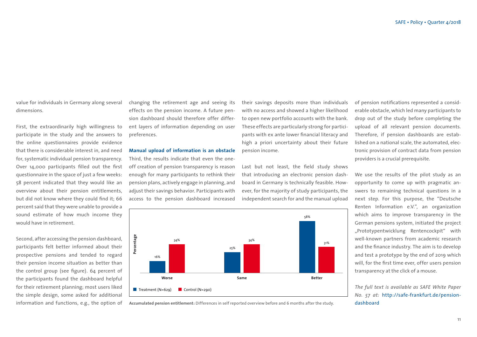value for individuals in Germany along several dimensions.

First, the extraordinarily high willingness to participate in the study and the answers to the online questionnaires provide evidence that there is considerable interest in, and need for, systematic individual pension transparency. Over 14,000 participants filled out the first questionnaire in the space of just a few weeks: 58 percent indicated that they would like an overview about their pension entitlements, but did not know where they could find it; 66 percent said that they were unable to provide a sound estimate of how much income they would have in retirement.

Second, after accessing the pension dashboard, participants felt better informed about their prospective pensions and tended to regard their pension income situation as better than the control group (see figure). 64 percent of the participants found the dashboard helpful for their retirement planning; most users liked the simple design, some asked for additional information and functions, e.g., the option of changing the retirement age and seeing its effects on the pension income. A future pension dashboard should therefore offer different layers of information depending on user preferences.

**Manual upload of information is an obstacle**  Third, the results indicate that even the oneoff creation of pension transparency is reason enough for many participants to rethink their pension plans, actively engage in planning, and adjust their savings behavior. Participants with access to the pension dashboard increased

their savings deposits more than individuals with no access and showed a higher likelihood to open new portfolio accounts with the bank. These effects are particularly strong for participants with ex ante lower financial literacy and high a priori uncertainty about their future pension income.

Last but not least, the field study shows that introducing an electronic pension dashboard in Germany is technically feasible. However, for the majority of study participants, the independent search for and the manual upload

**Example 24**<br> **Percentage 34%**<br> **Percentage 34%**<br> **Percentage 34%**<br> **Percentage 34%**<br> **Percentage 34%**<br> **Percentage 34%**<br> **Percent**<br> **Percent**<br> **Percent**<br> **Percent**<br> **Percent**<br> **Percent**<br> **Percent**<br> **Percent**<br> **Percent**<br> **Worse Same Better** 16% 34% 25% 34% 58% 31% of pension notifications represented a considerable obstacle, which led many participants to drop out of the study before completing the upload of all relevant pension documents. Therefore, if pension dashboards are established on a national scale, the automated, electronic provision of contract data from pension providers is a crucial prerequisite.

We use the results of the pilot study as an opportunity to come up with pragmatic answers to remaining technical questions in a next step. For this purpose, the "Deutsche Renten Information e.V.", an organization which aims to improve transparency in the German pensions system, initiated the project "Prototypentwicklung Rentencockpit" with well-known partners from academic research and the finance industry. The aim is to develop and test a prototype by the end of 2019 which will, for the first time ever, offer users pension transparency at the click of a mouse.

*The full text is available as SAFE White Paper No. 57 at:* [http://safe-frankfurt.de/pension](https://safe-frankfurt.de/policy-center%20/policy-publications/policy-publ-detailsview/publicationname/wie-viel-rente-wirst-du-bekommen-pilotstudie-zur-einfuehrung-einer-renteninformationsplattform-in.html)dashboard

**Accumulated pension entitlement:** Differences in self reported overview before and 6 months after the study.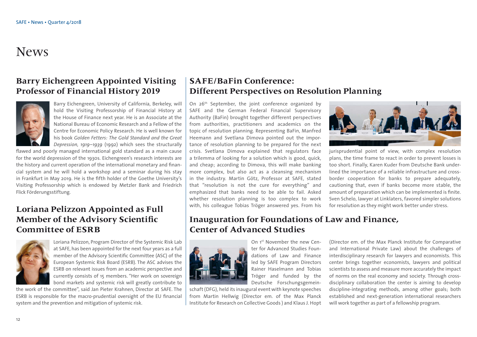### News

### **Barry Eichengreen Appointed Visiting Professor of Financial History 2019**



Barry Eichengreen, University of California, Berkeley, will hold the Visiting Professorship of Financial History at the House of Finance next year. He is an Associate at the National Bureau of Economic Research and a Fellow of the Centre for Economic Policy Research. He is well known for his book *Golden Fetters: The Gold Standard and the Great Depression, 1919–1939* (1992) which sees the structurally

flawed and poorly managed international gold standard as a main cause for the world depression of the 1930s. Eichengreen's research interests are the history and current operation of the international monetary and financial system and he will hold a workshop and a seminar during his stay in Frankfurt in May 2019. He is the fifth holder of the Goethe University's Visiting Professorship which is endowed by Metzler Bank and Friedrich Flick Förderungsstiftung.

### **Loriana Pelizzon Appointed as Full Member of the Advisory Scientific Committee of ESRB**



Loriana Pelizzon, Program Director of the Systemic Risk Lab at SAFE, has been appointed for the next four years as a full member of the Advisory Scientific Committee (ASC) of the European Systemic Risk Board (ESRB). The ASC advises the ESRB on relevant issues from an academic perspective and currently consists of 15 members. "Her work on sovereign bond markets and systemic risk will greatly contribute to

the work of the committee", said Jan Pieter Krahnen, Director at SAFE. The ESRB is responsible for the macro-prudential oversight of the EU financial system and the prevention and mitigation of systemic risk.

### **SAFE/BaFin Conference: Different Perspectives on Resolution Planning**

On 26<sup>th</sup> September, the joint conference organized by SAFE and the German Federal Financial Supervisory Authority (BaFin) brought together different perspectives from authorities, practitioners and academics on the topic of resolution planning. Representing BaFin, Manfred Heemann and Svetlana Dimova pointed out the importance of resolution planning to be prepared for the next crisis. Svetlana Dimova explained that regulators face a trilemma of looking for a solution which is good, quick, and cheap; according to Dimova, this will make banking more complex, but also act as a cleansing mechanism in the industry. Martin Götz, Professor at SAFE, stated that "resolution is not the cure for everything" and emphasized that banks need to be able to fail. Asked whether resolution planning is too complex to work with, his colleague Tobias Tröger answered yes. From his



juris prudential point of view, with complex resolution plans, the time frame to react in order to prevent losses is too short. Finally, Karen Kuder from Deutsche Bank underlined the importance of a reliable infrastructure and crossborder cooperation for banks to prepare adequately, cautioning that, even if banks become more stable, the amount of preparation which can be implemented is finite. Sven Schelo, lawyer at Linklaters, favored simpler solutions for resolution as they might work better under stress.

### **Inauguration for Foundations of Law and Finance, Center of Advanced Studies**

On 1<sup>st</sup> November the new Center for Advanced Studies Foundations of Law and Finance led by SAFE Program Directors Rainer Haselmann and Tobias Tröger and funded by the Deutsche Forschungsgemein-



schaft (DFG), held its inaugural event with keynote speeches from Martin Hellwig (Director em. of the Max Planck Institute for Research on Collective Goods ) and Klaus J. Hopt

(Director em. of the Max Planck Institute for Comparative and International Private Law) about the challenges of interdisciplinary research for lawyers and economists. This center brings together economists, lawyers and political scientists to assess and measure more accurately the impact of norms on the real economy and society. Through crossdisciplinary collaboration the center is aiming to develop discipline-integrating methods, among other goals; both established and next-generation international researchers will work together as part of a fellowship program.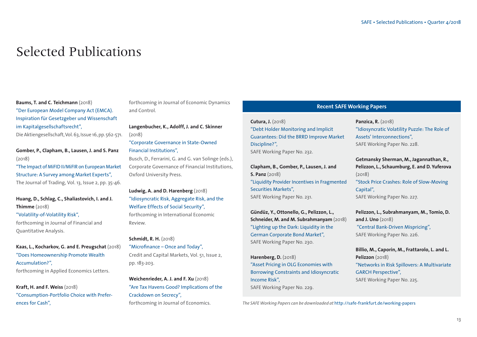### Selected Publications

**Baums, T. and C. Teichmann** (2018)

"Der European Model Company Act (EMCA). Inspiration für Gesetzgeber und Wissenschaft im Kapitalgesellschaftsrecht",

Die Aktiengesellschaft, Vol. 63, Issue 16, pp. 562-571.

**Gomber, P., Clapham, B., Lausen, J. and S. Panz**  (2018)

"The Impact of MiFID II/MiFIR on European Market Structure: A Survey among Market Experts", The Journal of Trading, Vol. 13, Issue 2, pp. 35-46.

**Huang, D., Schlag, C., Shaliastovich, I. and J. Thimme** (2018) "Volatility-of-Volatility Risk",

forthcoming in Journal of Financial and Quantitative Analysis.

**Kaas, L., Kocharkov, G. and E. Preugschat** (2018) "Does Homeownership Promote Wealth Accumulation?", forthcoming in Applied Economics Letters.

**Kraft, H. and F. Weiss** (2018) "Consumption-Portfolio Choice with Preferences for Cash",

forthcoming in Journal of Economic Dynamics and Control.

**Langenbucher, K., Adolff, J. and C. Skinner**  (2018)

"Corporate Governance in State-Owned Financial Institutions", Busch, D., Ferrarini, G. and G. van Solinge (eds.), Corporate Governance of Financial Institutions,

Oxford University Press.

**Ludwig, A. and D. Harenberg** (2018) "Idiosyncratic Risk, Aggregate Risk, and the Welfare Effects of Social Security", forthcoming in International Economic Review.

**Schmidt, R. H.** (2018) "Microfinance – Once and Today", Credit and Capital Markets, Vol. 51, Issue 2, pp. 183-203.

**Weichenrieder, A. J. and F. Xu** (2018) "Are Tax Havens Good? Implications of the Crackdown on Secrecy", forthcoming in Journal of Economics.

#### **Recent SAFE Working Papers**

**Cutura, J.** (2018) "Debt Holder Monitoring and Implicit Guarantees: Did the BRRD Improve Market Discipline?", SAFE Working Paper No. 232.

**Clapham, B., Gomber, P., Lausen, J. and S. Panz** (2018) "Liquidity Provider Incentives in Fragmented Securities Markets", SAFE Working Paper No. 231.

**Gündüz, Y., Ottonello, G., Pelizzon, L., Schneider, M. and M. Subrahmanyam** (2018) "Lighting up the Dark: Liquidity in the German Corporate Bond Market", SAFE Working Paper No. 230.

**Harenberg, D.** (2018) "Asset Pricing in OLG Economies with Borrowing Constraints and Idiosyncratic Income Risk", SAFE Working Paper No. 229.

**Panzica, R.** (2018) "Idiosyncratic Volatility Puzzle: The Role of Assets' Interconnections", SAFE Working Paper No. 228.

**Getmansky Sherman, M., Jagannathan, R., Pelizzon, L., Schaumburg, E. and D. Yuferova**  (2018) "Stock Price Crashes: Role of Slow-Moving Capital", SAFE Working Paper No. 227.

**Pelizzon, L., Subrahmanyam, M., Tomio, D. and J. Uno** (2018) "Central Bank-Driven Mispricing", SAFE Working Paper No. 226.

**Billio, M., Caporin, M., Frattarolo, L. and L. Pelizzon** (2018) "Networks in Risk Spillovers: A Multivariate GARCH Perspective", SAFE Working Paper No. 225.

*The SAFE Working Papers can be downloaded at* http://safe-frankfurt.de/working-papers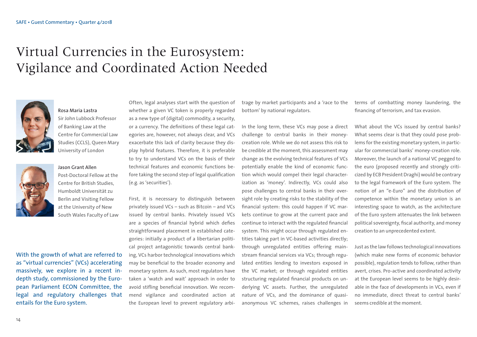# Virtual Currencies in the Eurosystem: Vigilance and Coordinated Action Needed



#### Rosa Maria Lastra

Sir John Lubbock Professor of Banking Law at the Centre for Commercial Law Studies (CCLS), Queen Mary University of London



Jason Grant Allen Post-Doctoral Fellow at the Centre for British Studies, Humboldt Universität zu Berlin and Visiting Fellow at the University of New South Wales Faculty of Law

With the growth of what are referred to as "virtual currencies" (VCs) accelerating massively, we explore in a recent indepth study, commissioned by the European Parliament ECON Committee, the legal and regulatory challenges that entails for the Euro system.

Often, legal analyses start with the question of whether a given VC token is properly regarded as a new type of (digital) commodity, a security, or a currency. The definitions of these legal categories are, however, not always clear, and VCs exacerbate this lack of clarity because they display hybrid features. Therefore, it is preferable to try to understand VCs on the basis of their technical features and economic functions before taking the second step of legal qualification (e.g. as 'securities').

First, it is necessary to distinguish between privately issued VCs – such as Bitcoin – and VCs issued by central banks. Privately issued VCs are a species of financial hybrid which defies straightforward placement in established categories: initially a product of a libertarian political project antagonistic towards central banking, VCs harbor technological innovations which may be beneficial to the broader economy and monetary system. As such, most regulators have taken a 'watch and wait' approach in order to avoid stifling beneficial innovation. We recommend vigilance and coordinated action at the European level to prevent regulatory arbitrage by market participants and a 'race to the bottom' by national regulators.

In the long term, these VCs may pose a direct challenge to central banks in their moneycreation role. While we do not assess this risk to be credible at the moment, this assessment may change as the evolving technical features of VCs potentially enable the kind of economic function which would compel their legal characterization as 'money'. Indirectly, VCs could also pose challenges to central banks in their oversight role by creating risks to the stability of the financial system: this could happen if VC markets continue to grow at the current pace and continue to interact with the regulated financial system. This might occur through regulated entities taking part in VC-based activities directly; through unregulated entities offering mainstream financial services via VCs; through regulated entities lending to investors exposed in the VC market; or through regulated entities structuring regulated financial products on underlying VC assets. Further, the unregulated nature of VCs, and the dominance of quasianonymous VC schemes, raises challenges in

terms of combatting money laundering, the financing of terrorism, and tax evasion.

What about the VCs issued by central banks? What seems clear is that they could pose problems for the existing monetary system, in particular for commercial banks' money-creation role. Moreover, the launch of a national VC pegged to the euro (proposed recently and strongly criticized by ECB President Draghi) would be contrary to the legal framework of the Euro system. The notion of an "e-Euro" and the distribution of competence within the monetary union is an interesting space to watch, as the architecture of the Euro system attenuates the link between political sovereignty, fiscal authority, and money creation to an unprecedented extent.

Just as the law follows technological innovations (which make new forms of economic behavior possible), regulation tends to follow, rather than avert, crises. Pro-active and coordinated activity at the European level seems to be highly desirable in the face of developments in VCs, even if no immediate, direct threat to central banks' seems credible at the moment.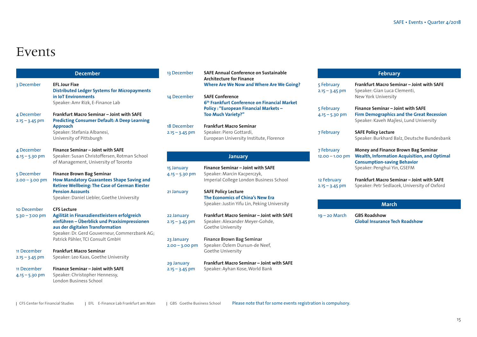### Events

|                                 | <b>December</b>                                                                                                                                                                   | 13 December                    | <b>SAFE Annual Conference on Sustainable</b><br><b>Architecture for Finance</b>                                                       |                                 |
|---------------------------------|-----------------------------------------------------------------------------------------------------------------------------------------------------------------------------------|--------------------------------|---------------------------------------------------------------------------------------------------------------------------------------|---------------------------------|
| 3 December                      | <b>EFL Jour Fixe</b><br><b>Distributed Ledger Systems for Micropayments</b><br>in IoT Environments<br>Speaker: Amr Rizk, E-Finance Lab                                            | 14 December                    | <b>Where Are We Now and Where Are We Going?</b><br><b>SAFE Conference</b><br>6 <sup>th</sup> Frankfurt Conference on Financial Market | 5 February<br>$2.15 - 3.45$ pm  |
| 4 December                      | Frankfurt Macro Seminar - Joint with SAFE                                                                                                                                         |                                | <b>Policy: "European Financial Markets -</b><br><b>Too Much Variety?"</b>                                                             | 5 February<br>$4.15 - 5.30$ pm  |
| $2.15 - 3.45$ pm                | <b>Predicting Consumer Default: A Deep Learning</b>                                                                                                                               |                                |                                                                                                                                       |                                 |
|                                 | <b>Approach</b>                                                                                                                                                                   | 18 December                    | <b>Frankfurt Macro Seminar</b>                                                                                                        |                                 |
|                                 | Speaker: Stefania Albanesi,<br>University of Pittsburgh                                                                                                                           | $2.15 - 3.45$ pm               | Speaker: Piero Gottardi,<br>European University Institute, Florence                                                                   | 7 February                      |
| 4 December                      | Finance Seminar - Joint with SAFE                                                                                                                                                 |                                |                                                                                                                                       | 7 February                      |
| $4.15 - 5.30$ pm                | Speaker: Susan Christoffersen, Rotman School<br>of Management, University of Toronto                                                                                              |                                | <b>January</b>                                                                                                                        | $12.00 - 1.00$ pr               |
|                                 |                                                                                                                                                                                   | 15 January                     | Finance Seminar - Joint with SAFE                                                                                                     |                                 |
| 5 December                      | <b>Finance Brown Bag Seminar</b>                                                                                                                                                  | $4.15 - 5.30$ pm               | Speaker: Marcin Kacperczyk,                                                                                                           |                                 |
| $2.00 - 3.00$ pm                | <b>How Mandatory Guarantees Shape Saving and</b><br><b>Retiree Wellbeing: The Case of German Riester</b>                                                                          |                                | Imperial College London Business School                                                                                               | 12 February<br>$2.15 - 3.45$ pm |
|                                 | <b>Pension Accounts</b>                                                                                                                                                           | 21 January                     | <b>SAFE Policy Lecture</b>                                                                                                            |                                 |
|                                 | Speaker: Daniel Liebler, Goethe University                                                                                                                                        |                                | The Economics of China's New Era<br>Speaker: Justin Yifu Lin, Peking University                                                       |                                 |
| 10 December                     | <b>CFS Lecture</b>                                                                                                                                                                |                                |                                                                                                                                       |                                 |
| $5.30 - 7.00$ pm                | Agilität in Finanzdienstleistern erfolgreich<br>einführen - Überblick und Praxisimpressionen<br>aus der digitalen Transformation<br>Speaker: Dr. Gerd Gouverneur, Commerzbank AG; | 22 January<br>$2.15 - 3.45$ pm | Frankfurt Macro Seminar - Joint with SAFE<br>Speaker: Alexander Meyer-Gohde,<br>Goethe University                                     | $19 - 20$ March                 |
|                                 | Patrick Pähler, TCI Consult GmbH                                                                                                                                                  | 23 January<br>$2.00 - 3.00$ pm | Finance Brown Bag Seminar<br>Speaker: Özlem Dursun-de Neef,                                                                           |                                 |
| 11 December                     | <b>Frankfurt Macro Seminar</b>                                                                                                                                                    |                                | Goethe University                                                                                                                     |                                 |
| $2.15 - 3.45$ pm                | Speaker: Leo Kaas, Goethe University                                                                                                                                              |                                |                                                                                                                                       |                                 |
|                                 |                                                                                                                                                                                   | 29 January                     | Frankfurt Macro Seminar - Joint with SAFE                                                                                             |                                 |
| 11 December<br>$4.15 - 5.30$ pm | Finance Seminar - Joint with SAFE<br>Speaker: Christopher Hennessy,<br>London Business School                                                                                     | $2.15 - 3.45$ pm               | Speaker: Ayhan Kose, World Bank                                                                                                       |                                 |
|                                 |                                                                                                                                                                                   |                                |                                                                                                                                       |                                 |

### **February**

| 5 February<br>$2.15 - 3.45$ pm  | Frankfurt Macro Seminar – Joint with SAFE<br>Speaker: Gian Luca Clementi,<br>New York University                                                                |
|---------------------------------|-----------------------------------------------------------------------------------------------------------------------------------------------------------------|
| 5 February<br>$4.15 - 5.30$ pm  | <b>Finance Seminar – Joint with SAFE</b><br><b>Firm Demographics and the Great Recession</b><br>Speaker: Kaveh Majlesi, Lund University                         |
| <b>7 February</b>               | <b>SAFE Policy Lecture</b><br>Speaker: Burkhard Balz, Deutsche Bundesbank                                                                                       |
| 7 February<br>$12.00 - 1.00$ pm | Money and Finance Brown Bag Seminar<br><b>Wealth, Information Acquisition, and Optimal</b><br><b>Consumption-saving Behavior</b><br>Speaker: Penghui Yin, GSEFM |
| 12 February<br>$2.15 - 3.45$ pm | <b>Frankfurt Macro Seminar - Joint with SAFE</b><br>Speaker: Petr Sedlacek, University of Oxford                                                                |

#### **March**

19 – 20 March **GBS Roadshow Global Insurance Tech Roadshow**

| CFS Center for Financial Studies | EFL E-Finance Lab Frankfurt am Main | GBS Goethe Business School

Please note that for some events registration is compulsory.